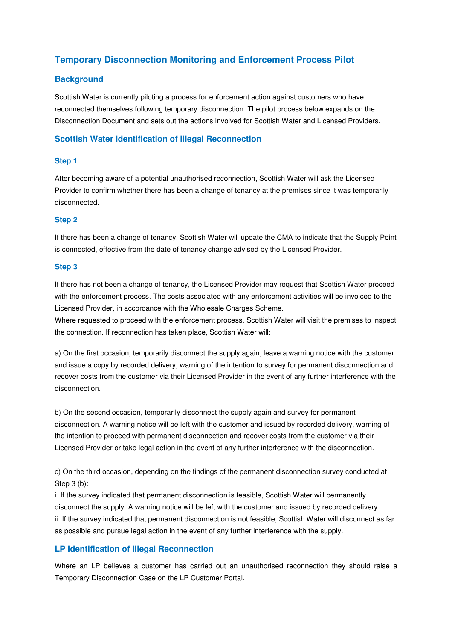# **Temporary Disconnection Monitoring and Enforcement Process Pilot**

### **Background**

Scottish Water is currently piloting a process for enforcement action against customers who have reconnected themselves following temporary disconnection. The pilot process below expands on the Disconnection Document and sets out the actions involved for Scottish Water and Licensed Providers.

### **Scottish Water Identification of Illegal Reconnection**

#### **Step 1**

After becoming aware of a potential unauthorised reconnection, Scottish Water will ask the Licensed Provider to confirm whether there has been a change of tenancy at the premises since it was temporarily disconnected.

#### **Step 2**

If there has been a change of tenancy, Scottish Water will update the CMA to indicate that the Supply Point is connected, effective from the date of tenancy change advised by the Licensed Provider.

#### **Step 3**

If there has not been a change of tenancy, the Licensed Provider may request that Scottish Water proceed with the enforcement process. The costs associated with any enforcement activities will be invoiced to the Licensed Provider, in accordance with the Wholesale Charges Scheme.

Where requested to proceed with the enforcement process, Scottish Water will visit the premises to inspect the connection. If reconnection has taken place, Scottish Water will:

a) On the first occasion, temporarily disconnect the supply again, leave a warning notice with the customer and issue a copy by recorded delivery, warning of the intention to survey for permanent disconnection and recover costs from the customer via their Licensed Provider in the event of any further interference with the disconnection.

b) On the second occasion, temporarily disconnect the supply again and survey for permanent disconnection. A warning notice will be left with the customer and issued by recorded delivery, warning of the intention to proceed with permanent disconnection and recover costs from the customer via their Licensed Provider or take legal action in the event of any further interference with the disconnection.

c) On the third occasion, depending on the findings of the permanent disconnection survey conducted at Step 3 (b):

i. If the survey indicated that permanent disconnection is feasible, Scottish Water will permanently disconnect the supply. A warning notice will be left with the customer and issued by recorded delivery. ii. If the survey indicated that permanent disconnection is not feasible, Scottish Water will disconnect as far as possible and pursue legal action in the event of any further interference with the supply.

### **LP Identification of Illegal Reconnection**

Where an LP believes a customer has carried out an unauthorised reconnection they should raise a Temporary Disconnection Case on the LP Customer Portal.